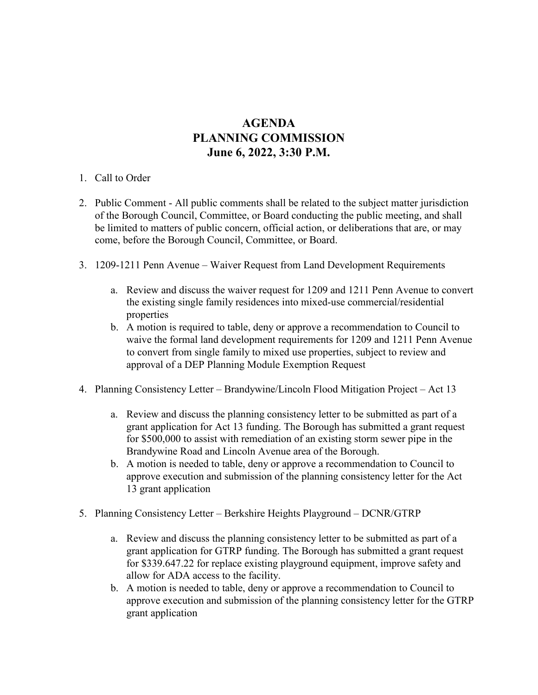## **AGENDA PLANNING COMMISSION June 6, 2022, 3:30 P.M.**

- 1. Call to Order
- 2. Public Comment All public comments shall be related to the subject matter jurisdiction of the Borough Council, Committee, or Board conducting the public meeting, and shall be limited to matters of public concern, official action, or deliberations that are, or may come, before the Borough Council, Committee, or Board.
- 3. 1209-1211 Penn Avenue Waiver Request from Land Development Requirements
	- a. Review and discuss the waiver request for 1209 and 1211 Penn Avenue to convert the existing single family residences into mixed-use commercial/residential properties
	- b. A motion is required to table, deny or approve a recommendation to Council to waive the formal land development requirements for 1209 and 1211 Penn Avenue to convert from single family to mixed use properties, subject to review and approval of a DEP Planning Module Exemption Request
- 4. Planning Consistency Letter Brandywine/Lincoln Flood Mitigation Project Act 13
	- a. Review and discuss the planning consistency letter to be submitted as part of a grant application for Act 13 funding. The Borough has submitted a grant request for \$500,000 to assist with remediation of an existing storm sewer pipe in the Brandywine Road and Lincoln Avenue area of the Borough.
	- b. A motion is needed to table, deny or approve a recommendation to Council to approve execution and submission of the planning consistency letter for the Act 13 grant application
- 5. Planning Consistency Letter Berkshire Heights Playground DCNR/GTRP
	- a. Review and discuss the planning consistency letter to be submitted as part of a grant application for GTRP funding. The Borough has submitted a grant request for \$339.647.22 for replace existing playground equipment, improve safety and allow for ADA access to the facility.
	- b. A motion is needed to table, deny or approve a recommendation to Council to approve execution and submission of the planning consistency letter for the GTRP grant application